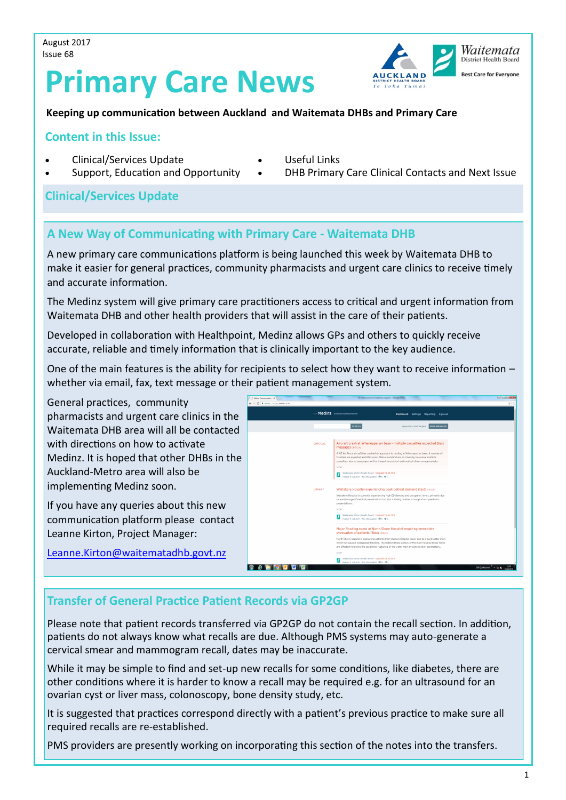August 2017 Issue 68

# **Primary Care News**



#### **Keeping up communication between Auckland and Waitemata DHBs and Primary Care**

#### **Content in this Issue:**

- Clinical/Services Update
- Support, Education and Opportunity
- Useful Links
- DHB Primary Care Clinical Contacts and Next Issue

#### **Clinical/Services Update**

#### **A New Way of Communicating with Primary Care - Waitemata DHB**

A new primary care communications platform is being launched this week by Waitemata DHB to make it easier for general practices, community pharmacists and urgent care clinics to receive timely and accurate information.

The Medinz system will give primary care practitioners access to critical and urgent information from Waitemata DHB and other health providers that will assist in the care of their patients.

Developed in collaboration with Healthpoint, Medinz allows GPs and others to quickly receive accurate, reliable and timely information that is clinically important to the key audience.

One of the main features is the ability for recipients to select how they want to receive information – whether via email, fax, text message or their patient management system.

General practices, community pharmacists and urgent care clinics in the Waitemata DHB area will all be contacted with directions on how to activate Medinz. It is hoped that other DHBs in the Auckland-Metro area will also be implementing Medinz soon.

If you have any queries about this new communication platform please contact Leanne Kirton, Project Manager:

∴ Medin:  $\mathbf{z}$  water itemata District Health Board - <mark>Updated 28 Jul</mark> 2<br>Ited 11 Jul 2017 - Was this useful? 『<sup>脚</sup> 0 呷 0 ¥ **CCCCCC** 

[Leanne.Kirton@waitematadhb.govt.nz](mailto:Leanne.Kirton@waitematadhb.govt.nz)

# **Transfer of General Practice Patient Records via GP2GP**

Please note that patient records transferred via GP2GP do not contain the recall section. In addition, patients do not always know what recalls are due. Although PMS systems may auto-generate a cervical smear and mammogram recall, dates may be inaccurate.

While it may be simple to find and set-up new recalls for some conditions, like diabetes, there are other conditions where it is harder to know a recall may be required e.g. for an ultrasound for an ovarian cyst or liver mass, colonoscopy, bone density study, etc.

It is suggested that practices correspond directly with a patient's previous practice to make sure all required recalls are re-established.

PMS providers are presently working on incorporating this section of the notes into the transfers.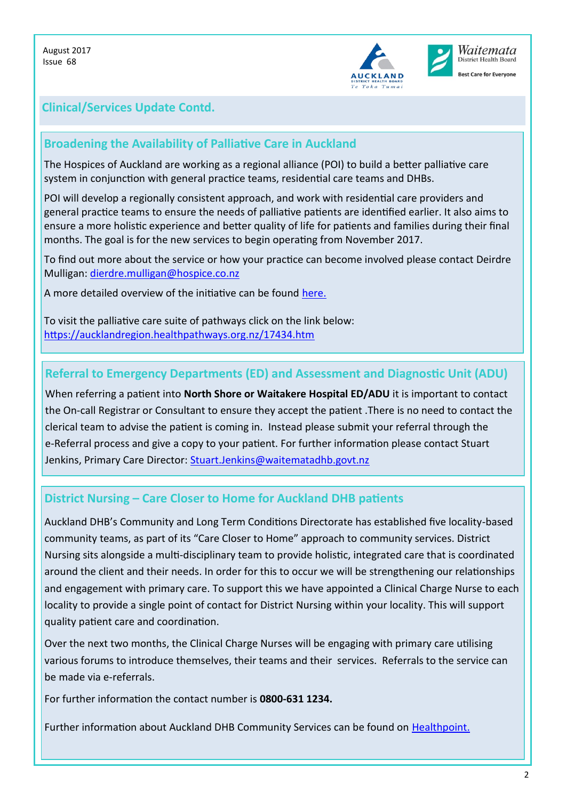

# **Clinical/Services Update Contd.**

### **Broadening the Availability of Palliative Care in Auckland**

The Hospices of Auckland are working as a regional alliance (POI) to build a better palliative care system in conjunction with general practice teams, residential care teams and DHBs.

POI will develop a regionally consistent approach, and work with residential care providers and general practice teams to ensure the needs of palliative patients are identified earlier. It also aims to ensure a more holistic experience and better quality of life for patients and families during their final months. The goal is for the new services to begin operating from November 2017.

To find out more about the service or how your practice can become involved please contact Deirdre Mulligan: [dierdre.mulligan@hospice.co.nz](mailto:dierdre.mulligan@hospice.co.nz)

A more detailed overview of the initiative can be found [here.](https://www.healthpoint.co.nz/download,691435.do)

To visit the palliative care suite of pathways click on the link below: <https://aucklandregion.healthpathways.org.nz/17434.htm>

#### **Referral to Emergency Departments (ED) and Assessment and Diagnostic Unit (ADU)**

When referring a patient into **North Shore or Waitakere Hospital ED/ADU** it is important to contact the On-call Registrar or Consultant to ensure they accept the patient .There is no need to contact the clerical team to advise the patient is coming in. Instead please submit your referral through the e-Referral process and give a copy to your patient. For further information please contact Stuart Jenkins, Primary Care Director: [Stuart.Jenkins@waitematadhb.govt.nz](mailto:Stuart.Jenkins@waitematadhb.govt.nz)

#### **District Nursing – Care Closer to Home for Auckland DHB patients**

Auckland DHB's Community and Long Term Conditions Directorate has established five locality-based community teams, as part of its "Care Closer to Home" approach to community services. District Nursing sits alongside a multi-disciplinary team to provide holistic, integrated care that is coordinated around the client and their needs. In order for this to occur we will be strengthening our relationships and engagement with primary care. To support this we have appointed a Clinical Charge Nurse to each locality to provide a single point of contact for District Nursing within your locality. This will support quality patient care and coordination.

Over the next two months, the Clinical Charge Nurses will be engaging with primary care utilising various forums to introduce themselves, their teams and their services. Referrals to the service can be made via e-referrals.

For further information the contact number is **0800-631 1234.** 

Further information about Auckland DHB Community Services can be found on [Healthpoint.](https://www.healthpoint.co.nz/public/community/auckland-dhb-community-services-adult/)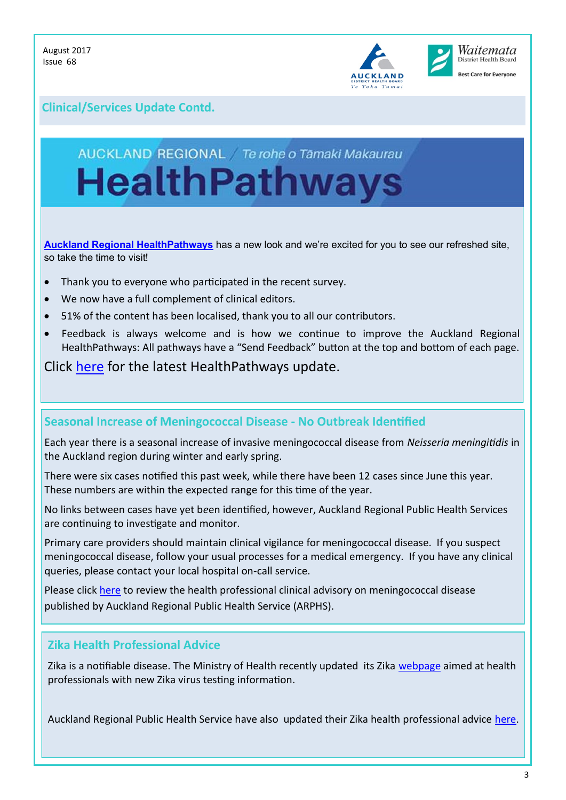

# **Clinical/Services Update Contd.**

# AUCKLAND REGIONAL / Te rohe o Tāmaki Makaurau **HealthPathways**

**[Auckland Regional HealthPathways](https://aucklandregion.healthpathways.org.nz/index.htm)** has a new look and we're excited for you to see our refreshed site, so take the time to visit!

- Thank you to everyone who participated in the recent survey.
- We now have a full complement of clinical editors.
- 51% of the content has been localised, thank you to all our contributors.
- Feedback is always welcome and is how we continue to improve the Auckland Regional HealthPathways: All pathways have a "Send Feedback" button at the top and bottom of each page.

Click [here](https://www.healthpoint.co.nz/download,692323.do) for the latest HealthPathways update.

#### **Seasonal Increase of Meningococcal Disease - No Outbreak Identified**

Each year there is a seasonal increase of invasive meningococcal disease from *Neisseria meningitidis* in the Auckland region during winter and early spring.

There were six cases notified this past week, while there have been 12 cases since June this year. These numbers are within the expected range for this time of the year.

No links between cases have yet b*e*en identified, however, Auckland Regional Public Health Services are continuing to investigate and monitor.

Primary care providers should maintain clinical vigilance for meningococcal disease. If you suspect meningococcal disease, follow your usual processes for a medical emergency. If you have any clinical queries, please contact your local hospital on-call service.

Please click [here](http://www.arphs.govt.nz/health-information/health-professionals) to review the health professional clinical advisory on meningococcal disease published by Auckland Regional Public Health Service (ARPHS).

#### **Zika Health Professional Advice**

Zika is a notifiable disease. The Ministry of Health recently updated its Zika [webpage](http://www.health.govt.nz/our-work/diseases-and-conditions/zika-virus) aimed at health professionals with new Zika virus testing information.

Auckland Regional Public Health Service have also updated their Zika health professional advice [here.](http://www.arphs.govt.nz/Portals/0/ARPHS%20HPA%20-%20Zika_Summary%2017-08-14.pdf)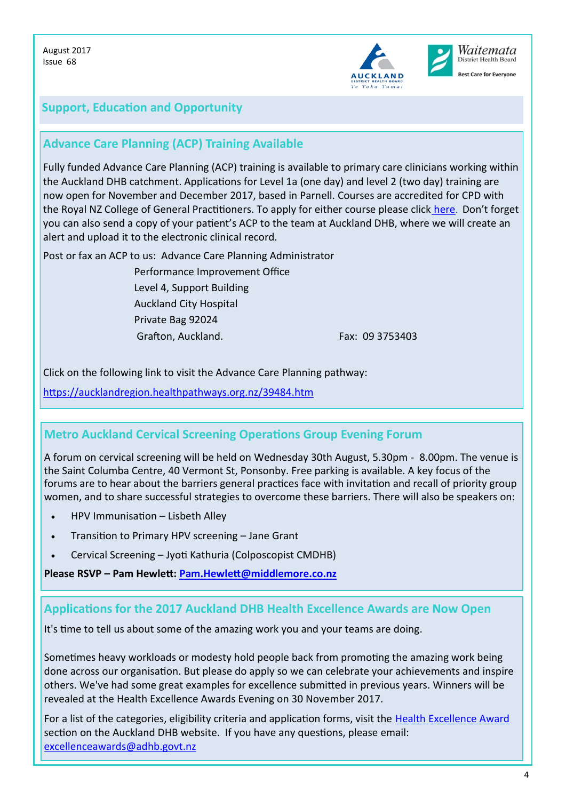

# **Support, Education and Opportunity**

# **Advance Care Planning (ACP) Training Available**

Fully funded Advance Care Planning (ACP) training is available to primary care clinicians working within the Auckland DHB catchment. Applications for Level 1a (one day) and level 2 (two day) training are now open for November and December 2017, based in Parnell. Courses are accredited for CPD with the Royal NZ College of General Practitioners. To apply for either course please click [here](https://www.surveymonkey.com/r/trainingapplications). Don't forget you can also send a copy of your patient's ACP to the team at Auckland DHB, where we will create an alert and upload it to the electronic clinical record.

Post or fax an ACP to us: Advance Care Planning Administrator

 Performance Improvement Office Level 4, Support Building Auckland City Hospital Private Bag 92024 Grafton, Auckland. **Fax: 09 3753403** 

Click on the following link to visit the Advance Care Planning pathway:

<https://aucklandregion.healthpathways.org.nz/39484.htm>

#### **Metro Auckland Cervical Screening Operations Group Evening Forum**

A forum on cervical screening will be held on Wednesday 30th August, 5.30pm - 8.00pm. The venue is the Saint Columba Centre, 40 Vermont St, Ponsonby. Free parking is available. A key focus of the forums are to hear about the barriers general practices face with invitation and recall of priority group women, and to share successful strategies to overcome these barriers. There will also be speakers on:

- HPV Immunisation Lisbeth Alley
- Transition to Primary HPV screening Jane Grant
- Cervical Screening Jyoti Kathuria (Colposcopist CMDHB)

**Please RSVP – Pam Hewlett: [Pam.Hewlett@middlemore.co.nz](mailto:Pam.Hewlett@middlemore.co.nz)**

#### **Applications for the 2017 Auckland DHB Health Excellence Awards are Now Open**

It's time to tell us about some of the amazing work you and your teams are doing.

Sometimes heavy workloads or modesty hold people back from promoting the amazing work being done across our organisation. But please do apply so we can celebrate your achievements and inspire others. We've had some great examples for excellence submitted in previous years. Winners will be revealed at the Health Excellence Awards Evening on 30 November 2017.

For a list of the categories, eligibility criteria and application forms, visit the Health Excellence Award section on the Auckland DHB website. If you have any questions, please email: [excellenceawards@adhb.govt.nz](mailto:excellenceawards@adhb.govt.nz)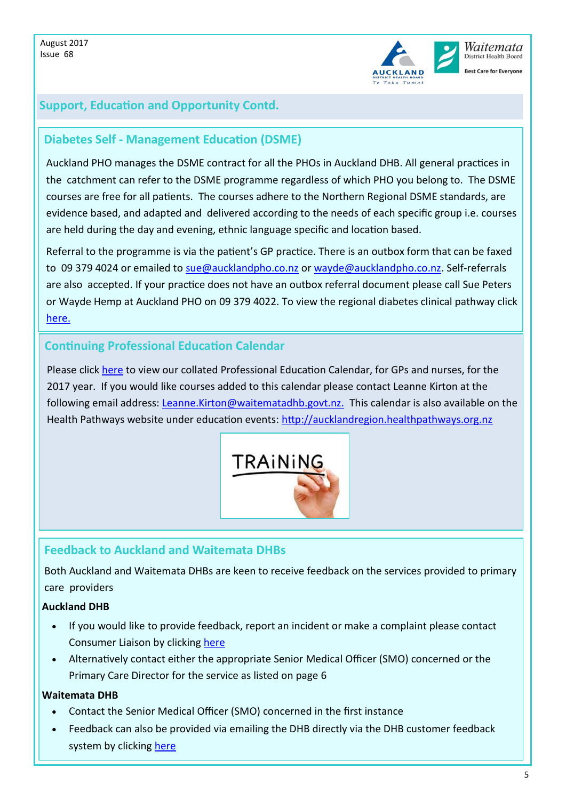

# **Support, Education and Opportunity Contd.**

#### **Diabetes Self - Management Education (DSME)**

Auckland PHO manages the DSME contract for all the PHOs in Auckland DHB. All general practices in the catchment can refer to the DSME programme regardless of which PHO you belong to. The DSME courses are free for all patients. The courses adhere to the Northern Regional DSME standards, are evidence based, and adapted and delivered according to the needs of each specific group i.e. courses are held during the day and evening, ethnic language specific and location based.

Referral to the programme is via the patient's GP practice. There is an outbox form that can be faxed to 09 379 4024 or emailed to [sue@aucklandpho.co.nz](mailto:sue@aucklandpho.co.nz) or [wayde@aucklandpho.co.nz.](mailto:wayde@aucklandpho.co.nz) Self-referrals are also accepted. If your practice does not have an outbox referral document please call Sue Peters or Wayde Hemp at Auckland PHO on 09 379 4022. To view the regional diabetes clinical pathway click [here.](https://aucklandregion.healthpathways.org.nz/50941.htm)

### **Continuing Professional Education Calendar**

Please click [here](https://www.healthpoint.co.nz/download,691319.do) to view our collated Professional Education Calendar, for GPs and nurses, for the 2017 year. If you would like courses added to this calendar please contact Leanne Kirton at the following email address: [Leanne.Kirton@waitematadhb.govt.nz.](mailto:Leanne.Kirton@waitematadhb.govt.nz.) This calendar is also available on the Health Pathways website under education events:<http://aucklandregion.healthpathways.org.nz>



#### **Feedback to Auckland and Waitemata DHBs**

Both Auckland and Waitemata DHBs are keen to receive feedback on the services provided to primary care providers

#### **Auckland DHB**

- If you would like to provide feedback, report an incident or make a complaint please contact Consumer Liaison by clicking [here](http://www.healthpoint.co.nz/partner,iadhb,wFKmc0Aoih.do?next=/tools/adhbincidentfeedback/)
- Alternatively contact either the appropriate Senior Medical Officer (SMO) concerned or the Primary Care Director for the service as listed on page 6

#### **Waitemata DHB**

- Contact the Senior Medical Officer (SMO) concerned in the first instance
- Feedback can also be provided via emailing the DHB directly via the DHB customer feedback system by clicking [here](mailto:customer.feedback@waitematadhb.govt.nz)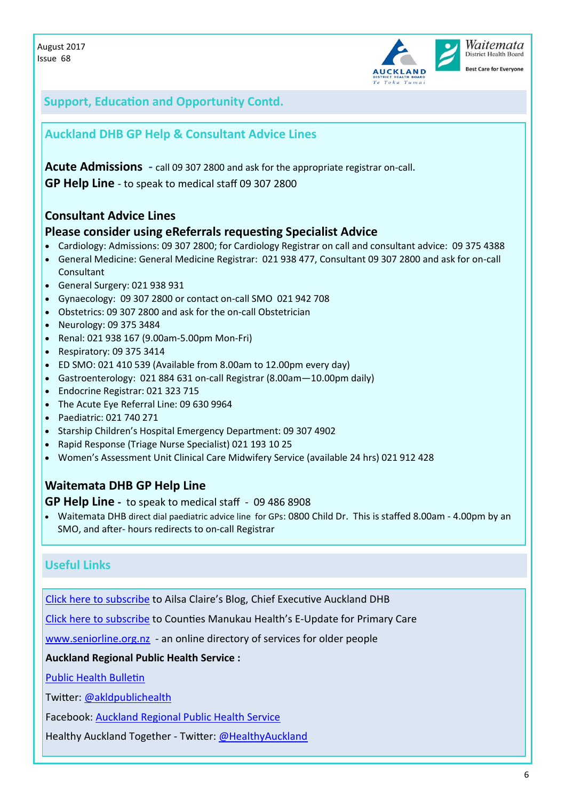



**Best Care for Everyone** 

# **Support, Education and Opportunity Contd.**

### **Auckland DHB GP Help & Consultant Advice Lines**

**Acute Admissions -** call 09 307 2800 and ask for the appropriate registrar on-call**. GP Help Line** - to speak to medical staff 09 307 2800

### **Consultant Advice Lines**

#### **Please consider using eReferrals requesting Specialist Advice**

- Cardiology: Admissions: 09 307 2800; for Cardiology Registrar on call and consultant advice: 09 375 4388
- General Medicine: General Medicine Registrar: 021 938 477, Consultant 09 307 2800 and ask for on-call Consultant
- General Surgery: 021 938 931
- Gynaecology: 09 307 2800 or contact on-call SMO 021 942 708
- Obstetrics: 09 307 2800 and ask for the on-call Obstetrician
- Neurology: 09 375 3484
- Renal: 021 938 167 (9.00am-5.00pm Mon-Fri)
- Respiratory: 09 375 3414
- ED SMO: 021 410 539 (Available from 8.00am to 12.00pm every day)
- Gastroenterology: 021 884 631 on-call Registrar (8.00am—10.00pm daily)
- Endocrine Registrar: 021 323 715
- The Acute Eye Referral Line: 09 630 9964
- Paediatric: 021 740 271
- Starship Children's Hospital Emergency Department: 09 307 4902
- Rapid Response (Triage Nurse Specialist) 021 193 10 25
- Women's Assessment Unit Clinical Care Midwifery Service (available 24 hrs) 021 912 428

# **Waitemata DHB GP Help Line**

#### **GP Help Line -** to speak to medical staff - 09 486 8908

 Waitemata DHB direct dial paediatric advice line for GPs: 0800 Child Dr. This is staffed 8.00am - 4.00pm by an SMO, and after- hours redirects to on-call Registrar

# **Useful Links**

[Click here to subscribe](https://adhbce.wordpress.com/author/adhbce/) to Ailsa Claire's Blog, Chief Executive Auckland DHB

[Click here to subscribe](http://health.us10.list-manage.com/subscribe?u=433a74994ee32b4dca67cf27b&id=a333928dd5) to Counties Manukau Health's E-Update for Primary Care

[www.seniorline.org.nz](http://www.seniorline.org.nz) - an online directory of services for older people

**Auckland Regional Public Health Service :**

[Public Health Bulletin](http://us9.campaign-archive1.com/?u=eac2e336dbc5b59396939132e&id=3d789fd2bc&e=%5bUNIQID%5d)

Twitter: [@akldpublichealth](https://twitter.com/aklpublichealth)

Facebook: [Auckland Regional Public Health Service](https://www.facebook.com/ARPHS/)

Healthy Auckland Together - Twitter: [@HealthyAuckland](https://twitter.com/HealthyAuckland)